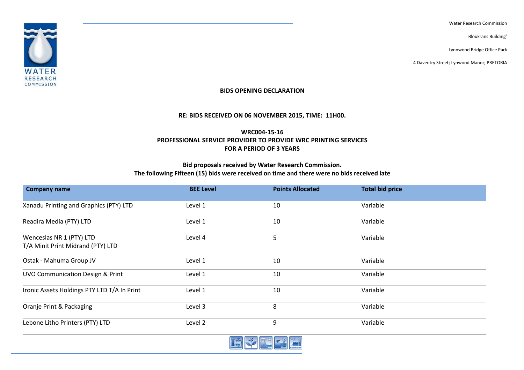Water Research Commission

Bloukrans Building'

Lynnwood Bridge Office Park

4 Daventry Street; Lynwood Manor; PRETORIA



## **BIDS OPENING DECLARATION**

## **RE: BIDS RECEIVED ON 06 NOVEMBER 2015, TIME: 11H00.**

**WRC004-15-16 PROFESSIONAL SERVICE PROVIDER TO PROVIDE WRC PRINTING SERVICES FOR A PERIOD OF 3 YEARS**

## **Bid proposals received by Water Research Commission. The following Fifteen (15) bids were received on time and there were no bids received late**

| <b>Company name</b>                                           | <b>BEE Level</b> | <b>Points Allocated</b> | <b>Total bid price</b> |
|---------------------------------------------------------------|------------------|-------------------------|------------------------|
| Xanadu Printing and Graphics (PTY) LTD                        | Level 1          | 10                      | Variable               |
| Readira Media (PTY) LTD                                       | Level 1          | 10                      | Variable               |
| Wenceslas NR 1 (PTY) LTD<br>T/A Minit Print Midrand (PTY) LTD | Level 4          | 5                       | Variable               |
| Ostak - Mahuma Group JV                                       | Level 1          | 10                      | Variable               |
| UVO Communication Design & Print                              | Level 1          | 10                      | Variable               |
| Ironic Assets Holdings PTY LTD T/A In Print                   | Level 1          | 10                      | Variable               |
| Oranje Print & Packaging                                      | Level 3          | 8                       | Variable               |
| Lebone Litho Printers (PTY) LTD                               | Level 2          | 9                       | Variable               |